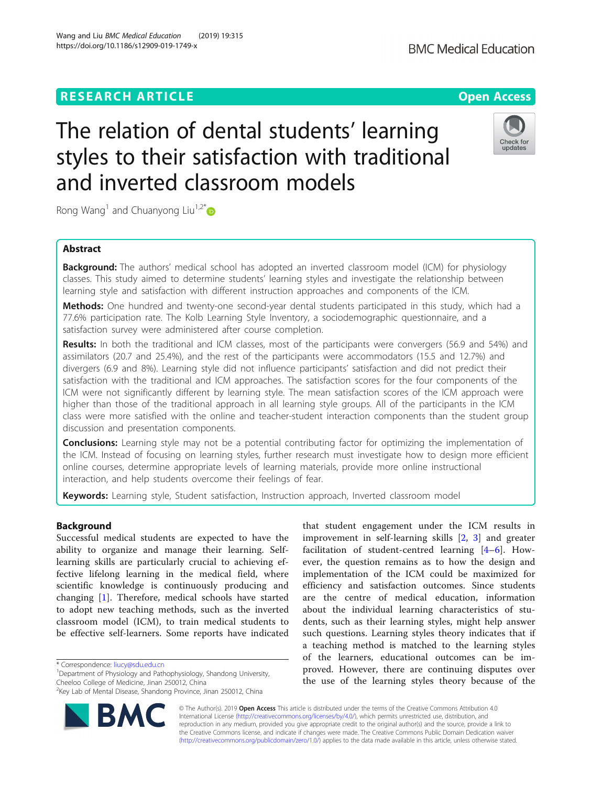## **RESEARCH ARTICLE Example 2014 12:30 The Contract of Contract ACCESS**

# The relation of dental students' learning styles to their satisfaction with traditional and inverted classroom models

Rong Wang<sup>1</sup> and Chuanyong Liu<sup>1,2\*</sup>

### Abstract

**Background:** The authors' medical school has adopted an inverted classroom model (ICM) for physiology classes. This study aimed to determine students' learning styles and investigate the relationship between learning style and satisfaction with different instruction approaches and components of the ICM.

Methods: One hundred and twenty-one second-year dental students participated in this study, which had a 77.6% participation rate. The Kolb Learning Style Inventory, a sociodemographic questionnaire, and a satisfaction survey were administered after course completion.

Results: In both the traditional and ICM classes, most of the participants were convergers (56.9 and 54%) and assimilators (20.7 and 25.4%), and the rest of the participants were accommodators (15.5 and 12.7%) and divergers (6.9 and 8%). Learning style did not influence participants' satisfaction and did not predict their satisfaction with the traditional and ICM approaches. The satisfaction scores for the four components of the ICM were not significantly different by learning style. The mean satisfaction scores of the ICM approach were higher than those of the traditional approach in all learning style groups. All of the participants in the ICM class were more satisfied with the online and teacher-student interaction components than the student group discussion and presentation components.

**Conclusions:** Learning style may not be a potential contributing factor for optimizing the implementation of the ICM. Instead of focusing on learning styles, further research must investigate how to design more efficient online courses, determine appropriate levels of learning materials, provide more online instructional interaction, and help students overcome their feelings of fear.

Keywords: Learning style, Student satisfaction, Instruction approach, Inverted classroom model

#### Background

Successful medical students are expected to have the ability to organize and manage their learning. Selflearning skills are particularly crucial to achieving effective lifelong learning in the medical field, where scientific knowledge is continuously producing and changing [\[1](#page-7-0)]. Therefore, medical schools have started to adopt new teaching methods, such as the inverted classroom model (ICM), to train medical students to be effective self-learners. Some reports have indicated

\* Correspondence: [liucy@sdu.edu.cn](mailto:liucy@sdu.edu.cn) <sup>1</sup>

<sup>1</sup>Department of Physiology and Pathophysiology, Shandong University, Cheeloo College of Medicine, Jinan 250012, China

© The Author(s). 2019 **Open Access** This article is distributed under the terms of the Creative Commons Attribution 4.0 International License [\(http://creativecommons.org/licenses/by/4.0/](http://creativecommons.org/licenses/by/4.0/)), which permits unrestricted use, distribution, and reproduction in any medium, provided you give appropriate credit to the original author(s) and the source, provide a link to the Creative Commons license, and indicate if changes were made. The Creative Commons Public Domain Dedication waiver [\(http://creativecommons.org/publicdomain/zero/1.0/](http://creativecommons.org/publicdomain/zero/1.0/)) applies to the data made available in this article, unless otherwise stated.

that student engagement under the ICM results in improvement in self-learning skills [[2,](#page-7-0) [3](#page-7-0)] and greater facilitation of student-centred learning [[4](#page-7-0)–[6](#page-7-0)]. However, the question remains as to how the design and implementation of the ICM could be maximized for efficiency and satisfaction outcomes. Since students are the centre of medical education, information about the individual learning characteristics of students, such as their learning styles, might help answer such questions. Learning styles theory indicates that if a teaching method is matched to the learning styles of the learners, educational outcomes can be improved. However, there are continuing disputes over the use of the learning styles theory because of the





#### Wang and Liu BMC Medical Education (2019) 19:315 https://doi.org/10.1186/s12909-019-1749-x

<sup>2</sup> Key Lab of Mental Disease, Shandong Province, Jinan 250012, China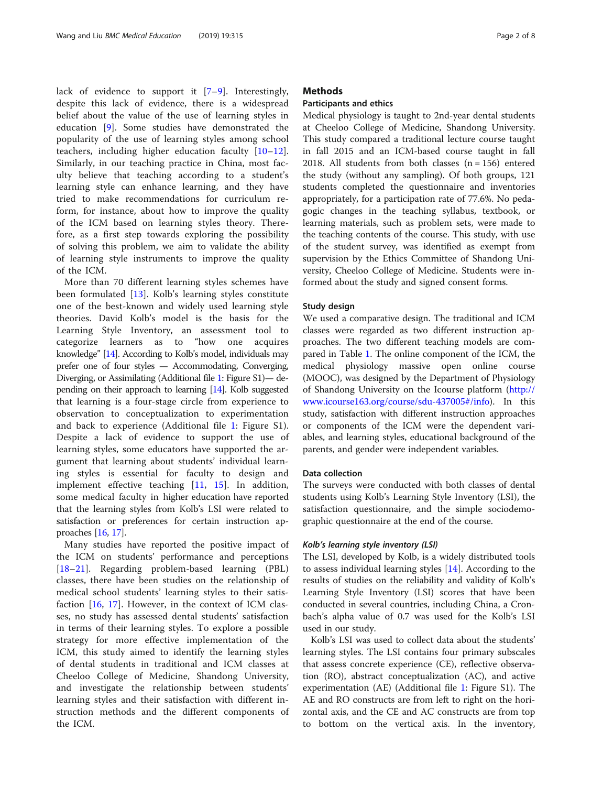lack of evidence to support it [[7](#page-7-0)–[9\]](#page-7-0). Interestingly, despite this lack of evidence, there is a widespread belief about the value of the use of learning styles in education [\[9](#page-7-0)]. Some studies have demonstrated the popularity of the use of learning styles among school teachers, including higher education faculty [\[10](#page-7-0)–[12](#page-7-0)]. Similarly, in our teaching practice in China, most faculty believe that teaching according to a student's learning style can enhance learning, and they have tried to make recommendations for curriculum reform, for instance, about how to improve the quality of the ICM based on learning styles theory. Therefore, as a first step towards exploring the possibility of solving this problem, we aim to validate the ability of learning style instruments to improve the quality of the ICM.

More than 70 different learning styles schemes have been formulated [\[13](#page-7-0)]. Kolb's learning styles constitute one of the best-known and widely used learning style theories. David Kolb's model is the basis for the Learning Style Inventory, an assessment tool to categorize learners as to "how one acquires knowledge" [\[14\]](#page-7-0). According to Kolb's model, individuals may prefer one of four styles — Accommodating, Converging, Diverging, or Assimilating (Additional file [1](#page-6-0): Figure S1)— depending on their approach to learning [\[14](#page-7-0)]. Kolb suggested that learning is a four-stage circle from experience to observation to conceptualization to experimentation and back to experience (Additional file [1](#page-6-0): Figure S1). Despite a lack of evidence to support the use of learning styles, some educators have supported the argument that learning about students' individual learning styles is essential for faculty to design and implement effective teaching [[11,](#page-7-0) [15](#page-7-0)]. In addition, some medical faculty in higher education have reported that the learning styles from Kolb's LSI were related to satisfaction or preferences for certain instruction approaches [\[16,](#page-7-0) [17](#page-7-0)].

Many studies have reported the positive impact of the ICM on students' performance and perceptions [[18](#page-7-0)–[21\]](#page-7-0). Regarding problem-based learning (PBL) classes, there have been studies on the relationship of medical school students' learning styles to their satisfaction [[16,](#page-7-0) [17\]](#page-7-0). However, in the context of ICM classes, no study has assessed dental students' satisfaction in terms of their learning styles. To explore a possible strategy for more effective implementation of the ICM, this study aimed to identify the learning styles of dental students in traditional and ICM classes at Cheeloo College of Medicine, Shandong University, and investigate the relationship between students' learning styles and their satisfaction with different instruction methods and the different components of the ICM.

#### **Methods**

#### Participants and ethics

Medical physiology is taught to 2nd-year dental students at Cheeloo College of Medicine, Shandong University. This study compared a traditional lecture course taught in fall 2015 and an ICM-based course taught in fall 2018. All students from both classes  $(n = 156)$  entered the study (without any sampling). Of both groups, 121 students completed the questionnaire and inventories appropriately, for a participation rate of 77.6%. No pedagogic changes in the teaching syllabus, textbook, or learning materials, such as problem sets, were made to the teaching contents of the course. This study, with use of the student survey, was identified as exempt from supervision by the Ethics Committee of Shandong University, Cheeloo College of Medicine. Students were informed about the study and signed consent forms.

#### Study design

We used a comparative design. The traditional and ICM classes were regarded as two different instruction approaches. The two different teaching models are compared in Table [1](#page-2-0). The online component of the ICM, the medical physiology massive open online course (MOOC), was designed by the Department of Physiology of Shandong University on the Icourse platform [\(http://](http://www.icourse163.org/course/sdu-437005#/info) [www.icourse163.org/course/sdu-437005#/info\)](http://www.icourse163.org/course/sdu-437005#/info). In this study, satisfaction with different instruction approaches or components of the ICM were the dependent variables, and learning styles, educational background of the parents, and gender were independent variables.

#### Data collection

The surveys were conducted with both classes of dental students using Kolb's Learning Style Inventory (LSI), the satisfaction questionnaire, and the simple sociodemographic questionnaire at the end of the course.

#### Kolb's learning style inventory (LSI)

The LSI, developed by Kolb, is a widely distributed tools to assess individual learning styles [[14\]](#page-7-0). According to the results of studies on the reliability and validity of Kolb's Learning Style Inventory (LSI) scores that have been conducted in several countries, including China, a Cronbach's alpha value of 0.7 was used for the Kolb's LSI used in our study.

Kolb's LSI was used to collect data about the students' learning styles. The LSI contains four primary subscales that assess concrete experience (CE), reflective observation (RO), abstract conceptualization (AC), and active experimentation (AE) (Additional file [1](#page-6-0): Figure S1). The AE and RO constructs are from left to right on the horizontal axis, and the CE and AC constructs are from top to bottom on the vertical axis. In the inventory,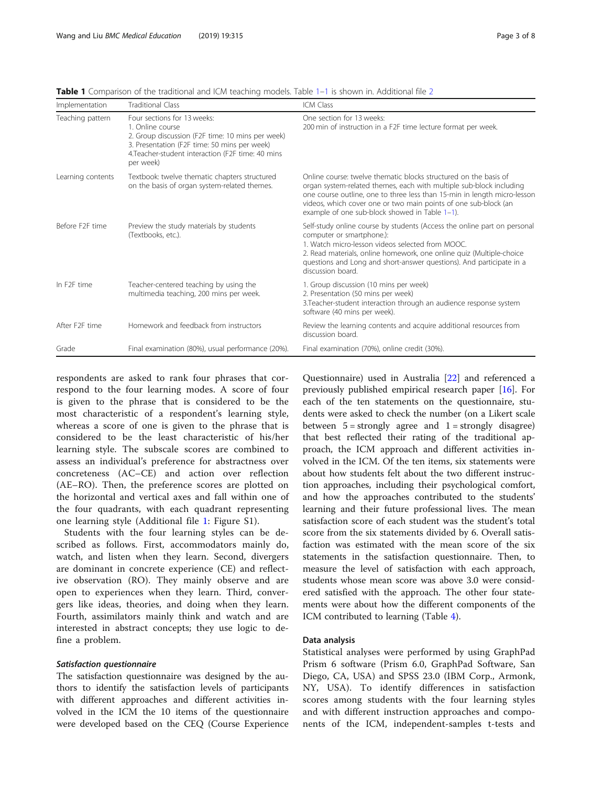| Implementation              | <b>Traditional Class</b>                                                                                                                                                                                              | ICM Class                                                                                                                                                                                                                                                                                                                                   |
|-----------------------------|-----------------------------------------------------------------------------------------------------------------------------------------------------------------------------------------------------------------------|---------------------------------------------------------------------------------------------------------------------------------------------------------------------------------------------------------------------------------------------------------------------------------------------------------------------------------------------|
| Teaching pattern            | Four sections for 13 weeks:<br>1. Online course<br>2. Group discussion (F2F time: 10 mins per week)<br>3. Presentation (F2F time: 50 mins per week)<br>4. Teacher-student interaction (F2F time: 40 mins<br>per week) | One section for 13 weeks:<br>200 min of instruction in a F2F time lecture format per week.                                                                                                                                                                                                                                                  |
| Learning contents           | Textbook: twelve thematic chapters structured<br>on the basis of organ system-related themes.                                                                                                                         | Online course: twelve thematic blocks structured on the basis of<br>organ system-related themes, each with multiple sub-block including<br>one course outline, one to three less than 15-min in length micro-lesson<br>videos, which cover one or two main points of one sub-block (an<br>example of one sub-block showed in Table $1-1$ ). |
| Before F <sub>2F</sub> time | Preview the study materials by students<br>(Textbooks, etc.).                                                                                                                                                         | Self-study online course by students (Access the online part on personal<br>computer or smartphone.):<br>1. Watch micro-lesson videos selected from MOOC.<br>2. Read materials, online homework, one online quiz (Multiple-choice<br>questions and Long and short-answer questions). And participate in a<br>discussion board.              |
| In F <sub>2F</sub> time     | Teacher-centered teaching by using the<br>multimedia teaching, 200 mins per week.                                                                                                                                     | 1. Group discussion (10 mins per week)<br>2. Presentation (50 mins per week)<br>3. Teacher-student interaction through an audience response system<br>software (40 mins per week).                                                                                                                                                          |
| After F <sub>2F</sub> time  | Homework and feedback from instructors                                                                                                                                                                                | Review the learning contents and acquire additional resources from<br>discussion board.                                                                                                                                                                                                                                                     |
| Grade                       | Final examination (80%), usual performance (20%).                                                                                                                                                                     | Final examination (70%), online credit (30%).                                                                                                                                                                                                                                                                                               |

<span id="page-2-0"></span>Table 1 Comparison of the traditional and ICM teaching models. Table 1-1 is shown in. Additional file [2](#page-6-0)

respondents are asked to rank four phrases that correspond to the four learning modes. A score of four is given to the phrase that is considered to be the most characteristic of a respondent's learning style, whereas a score of one is given to the phrase that is considered to be the least characteristic of his/her learning style. The subscale scores are combined to assess an individual's preference for abstractness over concreteness (AC–CE) and action over reflection (AE–RO). Then, the preference scores are plotted on the horizontal and vertical axes and fall within one of the four quadrants, with each quadrant representing one learning style (Additional file [1](#page-6-0): Figure S1).

Students with the four learning styles can be described as follows. First, accommodators mainly do, watch, and listen when they learn. Second, divergers are dominant in concrete experience (CE) and reflective observation (RO). They mainly observe and are open to experiences when they learn. Third, convergers like ideas, theories, and doing when they learn. Fourth, assimilators mainly think and watch and are interested in abstract concepts; they use logic to define a problem.

The satisfaction questionnaire was designed by the authors to identify the satisfaction levels of participants with different approaches and different activities involved in the ICM the 10 items of the questionnaire were developed based on the CEQ (Course Experience

Questionnaire) used in Australia [\[22\]](#page-7-0) and referenced a previously published empirical research paper [\[16](#page-7-0)]. For each of the ten statements on the questionnaire, students were asked to check the number (on a Likert scale between  $5 =$  strongly agree and  $1 =$  strongly disagree) that best reflected their rating of the traditional approach, the ICM approach and different activities involved in the ICM. Of the ten items, six statements were about how students felt about the two different instruction approaches, including their psychological comfort, and how the approaches contributed to the students' learning and their future professional lives. The mean satisfaction score of each student was the student's total score from the six statements divided by 6. Overall satisfaction was estimated with the mean score of the six statements in the satisfaction questionnaire. Then, to measure the level of satisfaction with each approach, students whose mean score was above 3.0 were considered satisfied with the approach. The other four statements were about how the different components of the ICM contributed to learning (Table [4](#page-5-0)).

#### Data analysis

Statistical analyses were performed by using GraphPad Prism 6 software (Prism 6.0, GraphPad Software, San Diego, CA, USA) and SPSS 23.0 (IBM Corp., Armonk, NY, USA). To identify differences in satisfaction scores among students with the four learning styles and with different instruction approaches and components of the ICM, independent-samples t-tests and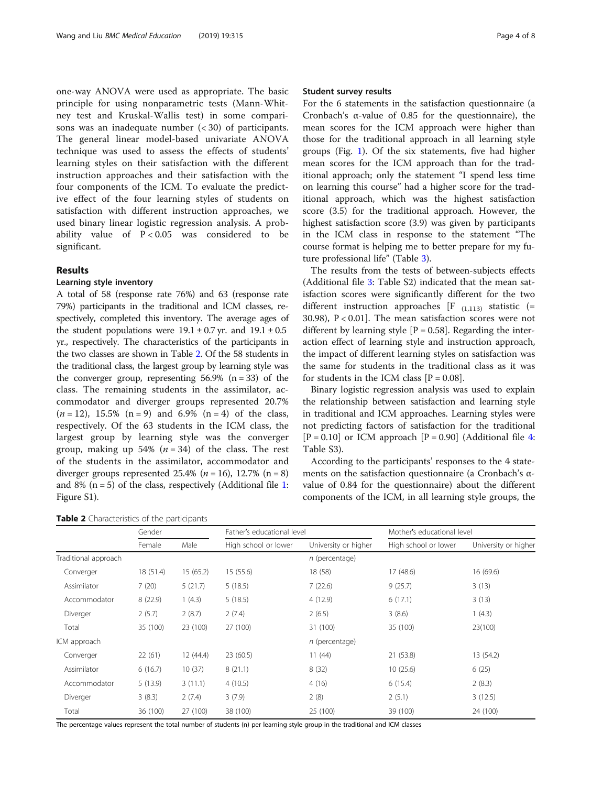one-way ANOVA were used as appropriate. The basic principle for using nonparametric tests (Mann-Whitney test and Kruskal-Wallis test) in some comparisons was an inadequate number  $\left( < 30 \right)$  of participants. The general linear model-based univariate ANOVA technique was used to assess the effects of students' learning styles on their satisfaction with the different instruction approaches and their satisfaction with the four components of the ICM. To evaluate the predictive effect of the four learning styles of students on satisfaction with different instruction approaches, we used binary linear logistic regression analysis. A probability value of  $P < 0.05$  was considered to be significant.

#### Results

#### Learning style inventory

A total of 58 (response rate 76%) and 63 (response rate 79%) participants in the traditional and ICM classes, respectively, completed this inventory. The average ages of the student populations were  $19.1 \pm 0.7$  yr. and  $19.1 \pm 0.5$ yr., respectively. The characteristics of the participants in the two classes are shown in Table 2. Of the 58 students in the traditional class, the largest group by learning style was the converger group, representing  $56.9\%$  (n = 33) of the class. The remaining students in the assimilator, accommodator and diverger groups represented 20.7%  $(n = 12)$ , 15.5%  $(n = 9)$  and 6.9%  $(n = 4)$  of the class, respectively. Of the 63 students in the ICM class, the largest group by learning style was the converger group, making up 54%  $(n = 34)$  of the class. The rest of the students in the assimilator, accommodator and diverger groups represented  $25.4\%$  ( $n = 16$ ),  $12.7\%$  ( $n = 8$ ) and 8% ( $n = 5$ ) of the class, respectively (Additional file [1](#page-6-0): Figure S1).

| Table 2 Characteristics of the participants |  |  |
|---------------------------------------------|--|--|
|---------------------------------------------|--|--|

#### Student survey results

For the 6 statements in the satisfaction questionnaire (a Cronbach's α-value of 0.85 for the questionnaire), the mean scores for the ICM approach were higher than those for the traditional approach in all learning style groups (Fig. [1\)](#page-4-0). Of the six statements, five had higher mean scores for the ICM approach than for the traditional approach; only the statement "I spend less time on learning this course" had a higher score for the traditional approach, which was the highest satisfaction score (3.5) for the traditional approach. However, the highest satisfaction score (3.9) was given by participants in the ICM class in response to the statement "The course format is helping me to better prepare for my future professional life" (Table [3\)](#page-4-0).

The results from the tests of between-subjects effects (Additional file [3:](#page-6-0) Table S2) indicated that the mean satisfaction scores were significantly different for the two different instruction approaches  $[F_{(1,113)}$  statistic (= 30.98), P < 0.01]. The mean satisfaction scores were not different by learning style  $[P = 0.58]$ . Regarding the interaction effect of learning style and instruction approach, the impact of different learning styles on satisfaction was the same for students in the traditional class as it was for students in the ICM class  $[P = 0.08]$ .

Binary logistic regression analysis was used to explain the relationship between satisfaction and learning style in traditional and ICM approaches. Learning styles were not predicting factors of satisfaction for the traditional  $[P = 0.10]$  or ICM approach  $[P = 0.90]$  (Additional file [4](#page-6-0): Table S3).

According to the participants' responses to the 4 statements on the satisfaction questionnaire (a Cronbach's αvalue of 0.84 for the questionnaire) about the different components of the ICM, in all learning style groups, the

|                      | Gender    |          | Father's educational level |                      | Mother's educational level |                      |
|----------------------|-----------|----------|----------------------------|----------------------|----------------------------|----------------------|
|                      | Female    | Male     | High school or lower       | University or higher | High school or lower       | University or higher |
| Traditional approach |           |          |                            | $n$ (percentage)     |                            |                      |
| Converger            | 18 (51.4) | 15(65.2) | 15(55.6)                   | 18 (58)              | 17(48.6)                   | 16 (69.6)            |
| Assimilator          | 7(20)     | 5(21.7)  | 5(18.5)                    | 7(22.6)              | 9(25.7)                    | 3(13)                |
| Accommodator         | 8(22.9)   | 1(4.3)   | 5(18.5)                    | 4(12.9)              | 6(17.1)                    | 3(13)                |
| Diverger             | 2(5.7)    | 2(8.7)   | 2(7.4)                     | 2(6.5)               | 3(8.6)                     | 1(4.3)               |
| Total                | 35 (100)  | 23 (100) | 27 (100)                   | 31 (100)             | 35 (100)                   | 23(100)              |
| ICM approach         |           |          |                            | $n$ (percentage)     |                            |                      |
| Converger            | 22(61)    | 12(44.4) | 23(60.5)                   | 11(44)               | 21 (53.8)                  | 13 (54.2)            |
| Assimilator          | 6(16.7)   | 10(37)   | 8(21.1)                    | 8(32)                | 10(25.6)                   | 6(25)                |
| Accommodator         | 5(13.9)   | 3(11.1)  | 4(10.5)                    | 4(16)                | 6(15.4)                    | 2(8.3)               |
| Diverger             | 3(8.3)    | 2(7.4)   | 3(7.9)                     | 2(8)                 | 2(5.1)                     | 3(12.5)              |
| Total                | 36 (100)  | 27 (100) | 38 (100)                   | 25 (100)             | 39 (100)                   | 24 (100)             |

The percentage values represent the total number of students (n) per learning style group in the traditional and ICM classes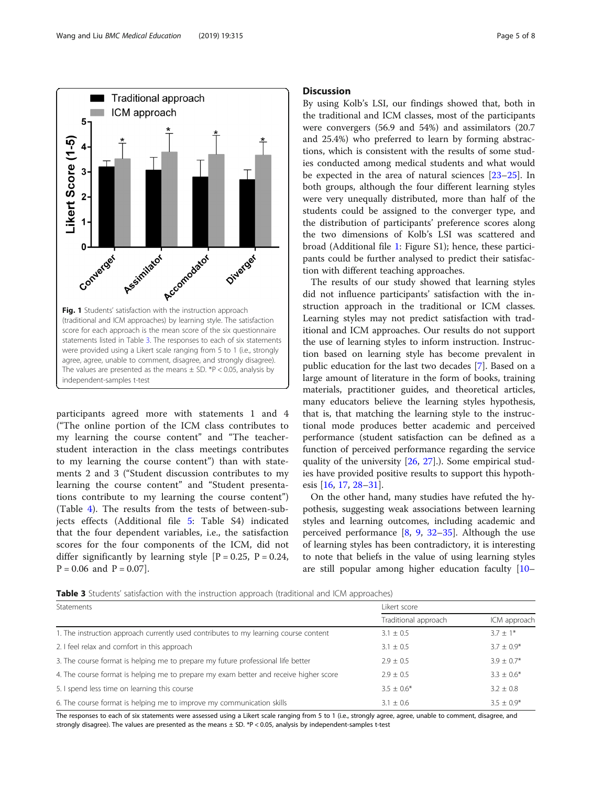<span id="page-4-0"></span>

participants agreed more with statements 1 and 4 ("The online portion of the ICM class contributes to my learning the course content" and "The teacherstudent interaction in the class meetings contributes to my learning the course content") than with statements 2 and 3 ("Student discussion contributes to my learning the course content" and "Student presentations contribute to my learning the course content") (Table [4\)](#page-5-0). The results from the tests of between-subjects effects (Additional file [5](#page-6-0): Table S4) indicated that the four dependent variables, i.e., the satisfaction scores for the four components of the ICM, did not differ significantly by learning style  $[P = 0.25, P = 0.24,$  $P = 0.06$  and  $P = 0.07$ .

#### **Discussion**

By using Kolb's LSI, our findings showed that, both in the traditional and ICM classes, most of the participants were convergers (56.9 and 54%) and assimilators (20.7 and 25.4%) who preferred to learn by forming abstractions, which is consistent with the results of some studies conducted among medical students and what would be expected in the area of natural sciences [[23](#page-7-0)–[25](#page-7-0)]. In both groups, although the four different learning styles were very unequally distributed, more than half of the students could be assigned to the converger type, and the distribution of participants' preference scores along the two dimensions of Kolb's LSI was scattered and broad (Additional file [1:](#page-6-0) Figure S1); hence, these participants could be further analysed to predict their satisfaction with different teaching approaches.

The results of our study showed that learning styles did not influence participants' satisfaction with the instruction approach in the traditional or ICM classes. Learning styles may not predict satisfaction with traditional and ICM approaches. Our results do not support the use of learning styles to inform instruction. Instruction based on learning style has become prevalent in public education for the last two decades [\[7](#page-7-0)]. Based on a large amount of literature in the form of books, training materials, practitioner guides, and theoretical articles, many educators believe the learning styles hypothesis, that is, that matching the learning style to the instructional mode produces better academic and perceived performance (student satisfaction can be defined as a function of perceived performance regarding the service quality of the university [\[26](#page-7-0), [27\]](#page-7-0).). Some empirical studies have provided positive results to support this hypothesis [\[16](#page-7-0), [17](#page-7-0), [28](#page-7-0)–[31\]](#page-7-0).

On the other hand, many studies have refuted the hypothesis, suggesting weak associations between learning styles and learning outcomes, including academic and perceived performance [\[8,](#page-7-0) [9](#page-7-0), [32](#page-7-0)–[35](#page-7-0)]. Although the use of learning styles has been contradictory, it is interesting to note that beliefs in the value of using learning styles are still popular among higher education faculty [[10](#page-7-0)–

**Table 3** Students' satisfaction with the instruction approach (traditional and ICM approaches)

| Statements                                                                            | Likert score         |                 |  |
|---------------------------------------------------------------------------------------|----------------------|-----------------|--|
|                                                                                       | Traditional approach | ICM approach    |  |
| 1. The instruction approach currently used contributes to my learning course content  | $3.1 + 0.5$          | $3.7 + 1*$      |  |
| 2. I feel relax and comfort in this approach                                          | $3.1 + 0.5$          | $3.7 + 0.9*$    |  |
| 3. The course format is helping me to prepare my future professional life better      | $2.9 + 0.5$          | $3.9 + 0.7*$    |  |
| 4. The course format is helping me to prepare my exam better and receive higher score | $2.9 + 0.5$          | $3.3 \pm 0.6^*$ |  |
| 5. I spend less time on learning this course                                          | $3.5 \pm 0.6^*$      | $3.2 \pm 0.8$   |  |
| 6. The course format is helping me to improve my communication skills                 | $3.1 + 0.6$          | $3.5 + 0.9*$    |  |

The responses to each of six statements were assessed using a Likert scale ranging from 5 to 1 (i.e., strongly agree, agree, unable to comment, disagree, and strongly disagree). The values are presented as the means ± SD. \*P < 0.05, analysis by independent-samples t-test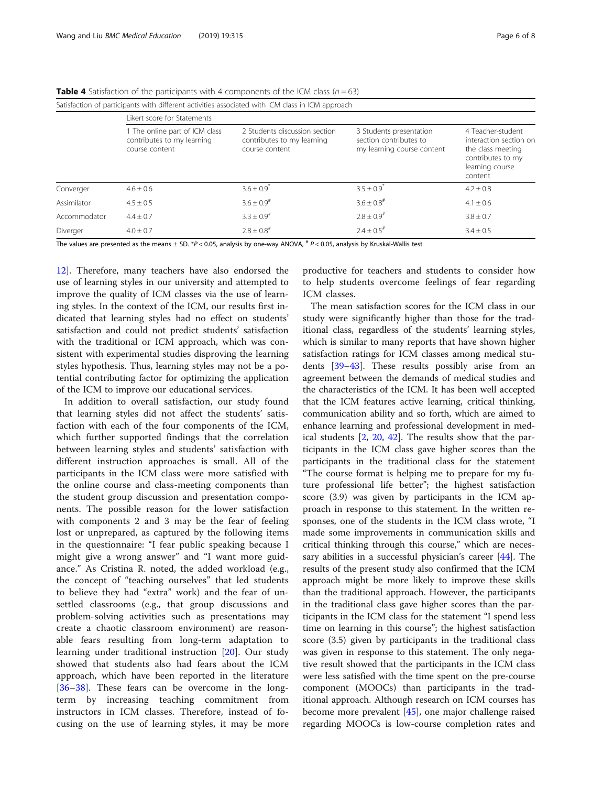| Satisfaction of participants with different activities associated with ICM class in ICM approach |                                                                                |                                                                               |                                                                                 |                                                                                                                     |  |  |
|--------------------------------------------------------------------------------------------------|--------------------------------------------------------------------------------|-------------------------------------------------------------------------------|---------------------------------------------------------------------------------|---------------------------------------------------------------------------------------------------------------------|--|--|
|                                                                                                  | Likert score for Statements                                                    |                                                                               |                                                                                 |                                                                                                                     |  |  |
|                                                                                                  | 1 The online part of ICM class<br>contributes to my learning<br>course content | 2 Students discussion section<br>contributes to my learning<br>course content | 3 Students presentation<br>section contributes to<br>my learning course content | 4 Teacher-student<br>interaction section on<br>the class meeting<br>contributes to my<br>learning course<br>content |  |  |
| Converger                                                                                        | $4.6 \pm 0.6$                                                                  | $3.6 \pm 0.9$ <sup>*</sup>                                                    | $3.5 \pm 0.9^{*}$                                                               | $4.2 \pm 0.8$                                                                                                       |  |  |
| Assimilator                                                                                      | $4.5 + 0.5$                                                                    | $3.6 + 0.9$ <sup>#</sup>                                                      | $3.6 + 0.8$ <sup>#</sup>                                                        | $4.1 \pm 0.6$                                                                                                       |  |  |
| Accommodator                                                                                     | $4.4 + 0.7$                                                                    | $3.3 + 0.9$ <sup>#</sup>                                                      | $2.8 + 0.9$ <sup>#</sup>                                                        | $3.8 \pm 0.7$                                                                                                       |  |  |
| Diverger                                                                                         | $4.0 + 0.7$                                                                    | $2.8 \pm 0.8$ <sup>#</sup>                                                    | $2.4 \pm 0.5$ <sup>#</sup>                                                      | $3.4 \pm 0.5$                                                                                                       |  |  |

<span id="page-5-0"></span>**Table 4** Satisfaction of the participants with 4 components of the ICM class ( $n = 63$ )

The values are presented as the means  $\pm$  SD. \*P < 0.05, analysis by one-way ANOVA,  $*$  P < 0.05, analysis by Kruskal-Wallis test

[12\]](#page-7-0). Therefore, many teachers have also endorsed the use of learning styles in our university and attempted to improve the quality of ICM classes via the use of learning styles. In the context of the ICM, our results first indicated that learning styles had no effect on students' satisfaction and could not predict students' satisfaction with the traditional or ICM approach, which was consistent with experimental studies disproving the learning styles hypothesis. Thus, learning styles may not be a potential contributing factor for optimizing the application of the ICM to improve our educational services.

In addition to overall satisfaction, our study found that learning styles did not affect the students' satisfaction with each of the four components of the ICM, which further supported findings that the correlation between learning styles and students' satisfaction with different instruction approaches is small. All of the participants in the ICM class were more satisfied with the online course and class-meeting components than the student group discussion and presentation components. The possible reason for the lower satisfaction with components 2 and 3 may be the fear of feeling lost or unprepared, as captured by the following items in the questionnaire: "I fear public speaking because I might give a wrong answer" and "I want more guidance." As Cristina R. noted, the added workload (e.g., the concept of "teaching ourselves" that led students to believe they had "extra" work) and the fear of unsettled classrooms (e.g., that group discussions and problem-solving activities such as presentations may create a chaotic classroom environment) are reasonable fears resulting from long-term adaptation to learning under traditional instruction [\[20](#page-7-0)]. Our study showed that students also had fears about the ICM approach, which have been reported in the literature [[36](#page-7-0)–[38\]](#page-7-0). These fears can be overcome in the longterm by increasing teaching commitment from instructors in ICM classes. Therefore, instead of focusing on the use of learning styles, it may be more

productive for teachers and students to consider how to help students overcome feelings of fear regarding ICM classes.

The mean satisfaction scores for the ICM class in our study were significantly higher than those for the traditional class, regardless of the students' learning styles, which is similar to many reports that have shown higher satisfaction ratings for ICM classes among medical students [\[39](#page-7-0)–[43\]](#page-7-0). These results possibly arise from an agreement between the demands of medical studies and the characteristics of the ICM. It has been well accepted that the ICM features active learning, critical thinking, communication ability and so forth, which are aimed to enhance learning and professional development in medical students [[2,](#page-7-0) [20](#page-7-0), [42](#page-7-0)]. The results show that the participants in the ICM class gave higher scores than the participants in the traditional class for the statement "The course format is helping me to prepare for my future professional life better"; the highest satisfaction score (3.9) was given by participants in the ICM approach in response to this statement. In the written responses, one of the students in the ICM class wrote, "I made some improvements in communication skills and critical thinking through this course," which are necessary abilities in a successful physician's career [\[44](#page-7-0)]. The results of the present study also confirmed that the ICM approach might be more likely to improve these skills than the traditional approach. However, the participants in the traditional class gave higher scores than the participants in the ICM class for the statement "I spend less time on learning in this course"; the highest satisfaction score (3.5) given by participants in the traditional class was given in response to this statement. The only negative result showed that the participants in the ICM class were less satisfied with the time spent on the pre-course component (MOOCs) than participants in the traditional approach. Although research on ICM courses has become more prevalent [[45\]](#page-7-0), one major challenge raised regarding MOOCs is low-course completion rates and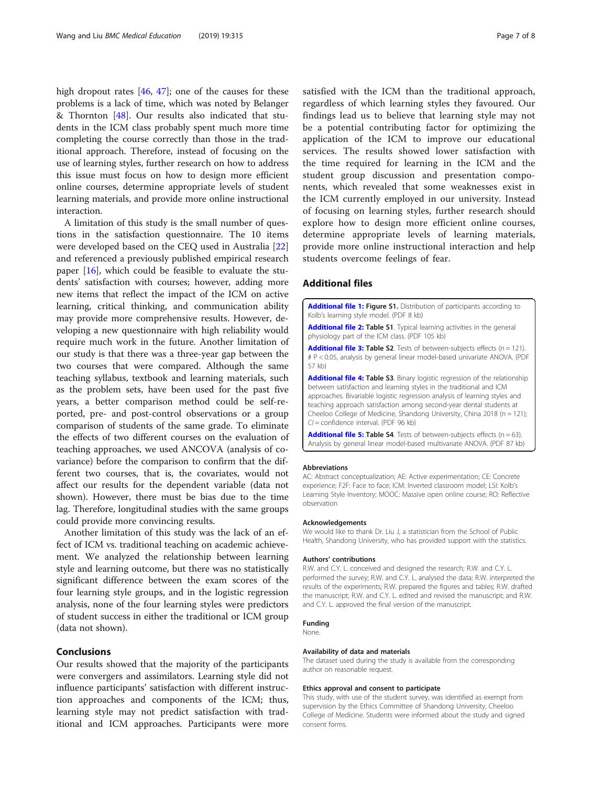<span id="page-6-0"></span>high dropout rates  $[46, 47]$  $[46, 47]$  $[46, 47]$  $[46, 47]$  $[46, 47]$ ; one of the causes for these problems is a lack of time, which was noted by Belanger & Thornton [[48\]](#page-7-0). Our results also indicated that students in the ICM class probably spent much more time completing the course correctly than those in the traditional approach. Therefore, instead of focusing on the use of learning styles, further research on how to address this issue must focus on how to design more efficient online courses, determine appropriate levels of student learning materials, and provide more online instructional interaction.

A limitation of this study is the small number of questions in the satisfaction questionnaire. The 10 items were developed based on the CEQ used in Australia [[22](#page-7-0)] and referenced a previously published empirical research paper [[16\]](#page-7-0), which could be feasible to evaluate the students' satisfaction with courses; however, adding more new items that reflect the impact of the ICM on active learning, critical thinking, and communication ability may provide more comprehensive results. However, developing a new questionnaire with high reliability would require much work in the future. Another limitation of our study is that there was a three-year gap between the two courses that were compared. Although the same teaching syllabus, textbook and learning materials, such as the problem sets, have been used for the past five years, a better comparison method could be self-reported, pre- and post-control observations or a group comparison of students of the same grade. To eliminate the effects of two different courses on the evaluation of teaching approaches, we used ANCOVA (analysis of covariance) before the comparison to confirm that the different two courses, that is, the covariates, would not affect our results for the dependent variable (data not shown). However, there must be bias due to the time lag. Therefore, longitudinal studies with the same groups could provide more convincing results.

Another limitation of this study was the lack of an effect of ICM vs. traditional teaching on academic achievement. We analyzed the relationship between learning style and learning outcome, but there was no statistically significant difference between the exam scores of the four learning style groups, and in the logistic regression analysis, none of the four learning styles were predictors of student success in either the traditional or ICM group (data not shown).

#### Conclusions

Our results showed that the majority of the participants were convergers and assimilators. Learning style did not influence participants' satisfaction with different instruction approaches and components of the ICM; thus, learning style may not predict satisfaction with traditional and ICM approaches. Participants were more satisfied with the ICM than the traditional approach, regardless of which learning styles they favoured. Our findings lead us to believe that learning style may not be a potential contributing factor for optimizing the application of the ICM to improve our educational services. The results showed lower satisfaction with the time required for learning in the ICM and the student group discussion and presentation components, which revealed that some weaknesses exist in the ICM currently employed in our university. Instead of focusing on learning styles, further research should explore how to design more efficient online courses, determine appropriate levels of learning materials, provide more online instructional interaction and help students overcome feelings of fear.

#### Additional files

[Additional file 1:](https://doi.org/10.1186/s12909-019-1749-x) Figure S1. Distribution of participants according to Kolb's learning style model. (PDF 8 kb)

[Additional file 2:](https://doi.org/10.1186/s12909-019-1749-x) Table S1. Typical learning activities in the general physiology part of the ICM class. (PDF 105 kb)

**[Additional file 3:](https://doi.org/10.1186/s12909-019-1749-x) Table S2**. Tests of between-subjects effects ( $n = 121$ ). # P < 0.05, analysis by general linear model-based univariate ANOVA. (PDF 57 kb)

[Additional file 4:](https://doi.org/10.1186/s12909-019-1749-x) Table S3. Binary logistic regression of the relationship between satisfaction and learning styles in the traditional and ICM approaches. Bivariable logistic regression analysis of learning styles and teaching approach satisfaction among second-year dental students at Cheeloo College of Medicine, Shandong University, China 2018 (n = 121); CI = confidence interval. (PDF 96 kb)

**[Additional file 5:](https://doi.org/10.1186/s12909-019-1749-x) Table S4**. Tests of between-subjects effects ( $n = 63$ ). Analysis by general linear model-based multivariate ANOVA. (PDF 87 kb)

#### Abbreviations

AC: Abstract conceptualization; AE: Active experimentation; CE: Concrete experience; F2F: Face to face; ICM: Inverted classroom model; LSI: Kolb's Learning Style Inventory; MOOC: Massive open online course; RO: Reflective observation

#### Acknowledgements

We would like to thank Dr. Liu J, a statistician from the School of Public Health, Shandong University, who has provided support with the statistics.

#### Authors' contributions

R.W. and C.Y. L. conceived and designed the research; R.W. and C.Y. L. performed the survey; R.W. and C.Y. L. analysed the data; R.W. interpreted the results of the experiments; R.W. prepared the figures and tables; R.W. drafted the manuscript; R.W. and C.Y. L. edited and revised the manuscript; and R.W. and C.Y. L. approved the final version of the manuscript.

#### Funding

None.

#### Availability of data and materials

The dataset used during the study is available from the corresponding author on reasonable request.

#### Ethics approval and consent to participate

This study, with use of the student survey, was identified as exempt from supervision by the Ethics Committee of Shandong University, Cheeloo College of Medicine. Students were informed about the study and signed consent forms.